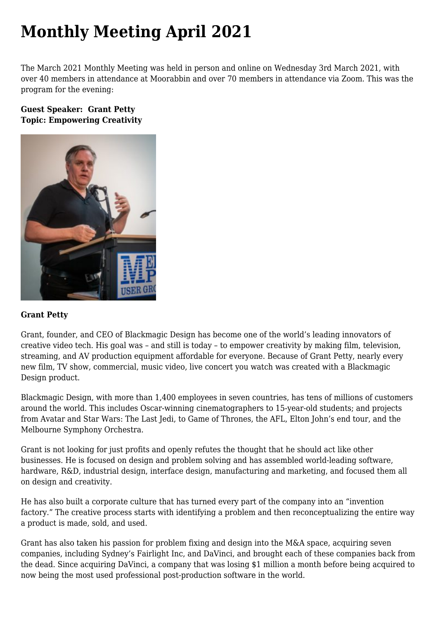# **[Monthly Meeting April 2021](https://www.melbpc.org.au/monthly-meeting-april-2021/)**

The March 2021 Monthly Meeting was held in person and online on Wednesday 3rd March 2021, with over 40 members in attendance at Moorabbin and over 70 members in attendance via Zoom. This was the program for the evening:

## **Guest Speaker: Grant Petty Topic: Empowering Creativity**



#### **Grant Petty**

Grant, founder, and CEO of Blackmagic Design has become one of the world's leading innovators of creative video tech. His goal was – and still is today – to empower creativity by making film, television, streaming, and AV production equipment affordable for everyone. Because of Grant Petty, nearly every new film, TV show, commercial, music video, live concert you watch was created with a Blackmagic Design product.

Blackmagic Design, with more than 1,400 employees in seven countries, has tens of millions of customers around the world. This includes Oscar-winning cinematographers to 15-year-old students; and projects from Avatar and Star Wars: The Last Jedi, to Game of Thrones, the AFL, Elton John's end tour, and the Melbourne Symphony Orchestra.

Grant is not looking for just profits and openly refutes the thought that he should act like other businesses. He is focused on design and problem solving and has assembled world-leading software, hardware, R&D, industrial design, interface design, manufacturing and marketing, and focused them all on design and creativity.

He has also built a corporate culture that has turned every part of the company into an "invention factory." The creative process starts with identifying a problem and then reconceptualizing the entire way a product is made, sold, and used.

Grant has also taken his passion for problem fixing and design into the M&A space, acquiring seven companies, including Sydney's Fairlight Inc, and DaVinci, and brought each of these companies back from the dead. Since acquiring DaVinci, a company that was losing \$1 million a month before being acquired to now being the most used professional post-production software in the world.